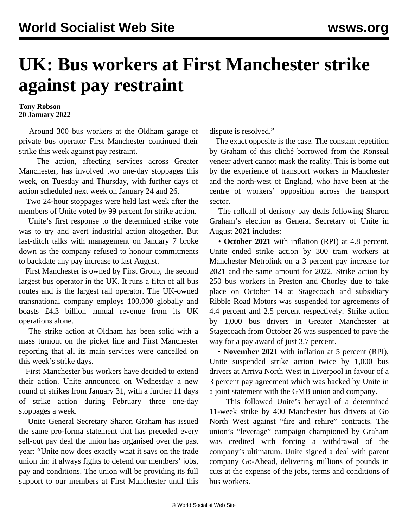## **UK: Bus workers at First Manchester strike against pay restraint**

**Tony Robson 20 January 2022**

 Around 300 bus workers at the Oldham garage of private bus operator First Manchester continued their strike this week against pay restraint.

 The action, affecting services across Greater Manchester, has involved two one-day stoppages this week, on Tuesday and Thursday, with further days of action scheduled next week on January 24 and 26.

 Two 24-hour stoppages were held last week after the members of Unite voted by 99 percent for strike action.

 Unite's first response to the determined strike vote was to try and avert industrial action altogether. But last-ditch talks with management on January 7 broke down as the company refused to honour commitments to backdate any pay increase to last August.

 First Manchester is owned by First Group, the second largest bus operator in the UK. It runs a fifth of all bus routes and is the largest rail operator. The UK-owned transnational company employs 100,000 globally and boasts £4.3 billion annual revenue from its UK operations alone.

 The strike action at Oldham has been solid with a mass turnout on the picket line and First Manchester reporting that all its main services were cancelled on this week's strike days.

 First Manchester bus workers have decided to extend their action. Unite announced on Wednesday a new round of strikes from January 31, with a further 11 days of strike action during February—three one-day stoppages a week.

 Unite General Secretary Sharon Graham has issued the same pro-forma statement that has preceded every sell-out pay deal the union has organised over the past year: "Unite now does exactly what it says on the trade union tin: it always fights to defend our members' jobs, pay and conditions. The union will be providing its full support to our members at First Manchester until this dispute is resolved."

 The exact opposite is the case. The constant repetition by Graham of this cliché borrowed from the Ronseal veneer advert cannot mask the reality. This is borne out by the experience of transport workers in Manchester and the north-west of England, who have been at the centre of workers' opposition across the transport sector.

 The rollcall of derisory pay deals following Sharon Graham's election as General Secretary of Unite in August 2021 includes:

 • **October 2021** with inflation (RPI) at 4.8 percent, Unite ended strike action by 300 tram workers at Manchester Metrolink on a 3 percent pay increase for 2021 and the same amount for 2022. Strike action by 250 bus workers in Preston and Chorley due to take place on October 14 at Stagecoach and subsidiary Ribble Road Motors was suspended for agreements of 4.4 percent and 2.5 percent respectively. Strike action by 1,000 bus drivers in Greater Manchester at Stagecoach from October 26 was suspended to pave the way for a pay award of just 3.7 percent.

 • **November 2021** with inflation at 5 percent (RPI), Unite suspended strike action twice by 1,000 bus drivers at Arriva North West in Liverpool in favour of a 3 percent pay agreement which was backed by Unite in a joint statement with the GMB union and company.

 This followed Unite's [betrayal](/en/articles/2021/05/19/nort-m19.html) of a determined 11-week strike by 400 Manchester bus drivers at Go North West against "fire and rehire" contracts. The union's "leverage" campaign championed by Graham was credited with forcing a withdrawal of the company's ultimatum. Unite signed a deal with parent company Go-Ahead, delivering millions of pounds in cuts at the expense of the jobs, terms and conditions of bus workers.